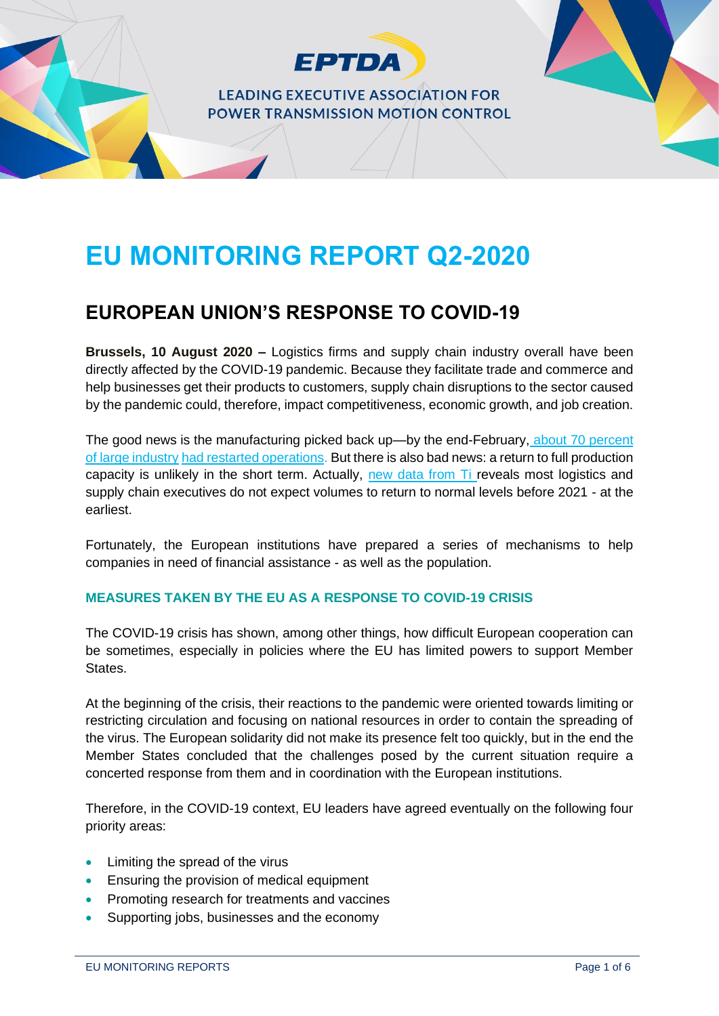

# **EU MONITORING REPORT Q2-2020**

# **EUROPEAN UNION'S RESPONSE TO COVID-19**

**Brussels, 10 August 2020 –** Logistics firms and supply chain industry overall have been directly affected by the COVID-19 pandemic. Because they facilitate trade and commerce and help businesses get their products to customers, supply chain disruptions to the sector caused by the pandemic could, therefore, impact competitiveness, economic growth, and job creation.

The good news is the manufacturing picked back up—by the end-February, [about 70 percent](https://www2.deloitte.com/content/dam/Deloitte/global/Documents/About-Deloitte/gx-COVID-19-managing-supply-chain-risk-and-disruption.pdf)  [of large industry](https://www2.deloitte.com/content/dam/Deloitte/global/Documents/About-Deloitte/gx-COVID-19-managing-supply-chain-risk-and-disruption.pdf) [had restarted operations.](https://www2.deloitte.com/content/dam/Deloitte/global/Documents/About-Deloitte/gx-COVID-19-managing-supply-chain-risk-and-disruption.pdf) But there is also bad news: a return to full production capacity is unlikely in the short term. Actually, [new data from Ti r](https://www.ti-insight.com/briefs/no-logistics-recovery-expected-before-2021-finds-survey/)eveals most logistics and supply chain executives do not expect volumes to return to normal levels before 2021 - at the earliest.

Fortunately, the European institutions have prepared a series of mechanisms to help companies in need of financial assistance - as well as the population.

## **MEASURES TAKEN BY THE EU AS A RESPONSE TO COVID-19 CRISIS**

The COVID-19 crisis has shown, among other things, how difficult European cooperation can be sometimes, especially in policies where the EU has limited powers to support Member States.

At the beginning of the crisis, their reactions to the pandemic were oriented towards limiting or restricting circulation and focusing on national resources in order to contain the spreading of the virus. The European solidarity did not make its presence felt too quickly, but in the end the Member States concluded that the challenges posed by the current situation require a concerted response from them and in coordination with the European institutions.

Therefore, in the COVID-19 context, EU leaders have agreed eventually on the following four priority areas:

- Limiting the spread of the virus
- Ensuring the provision of medical equipment
- Promoting research for treatments and vaccines
- Supporting jobs, businesses and the economy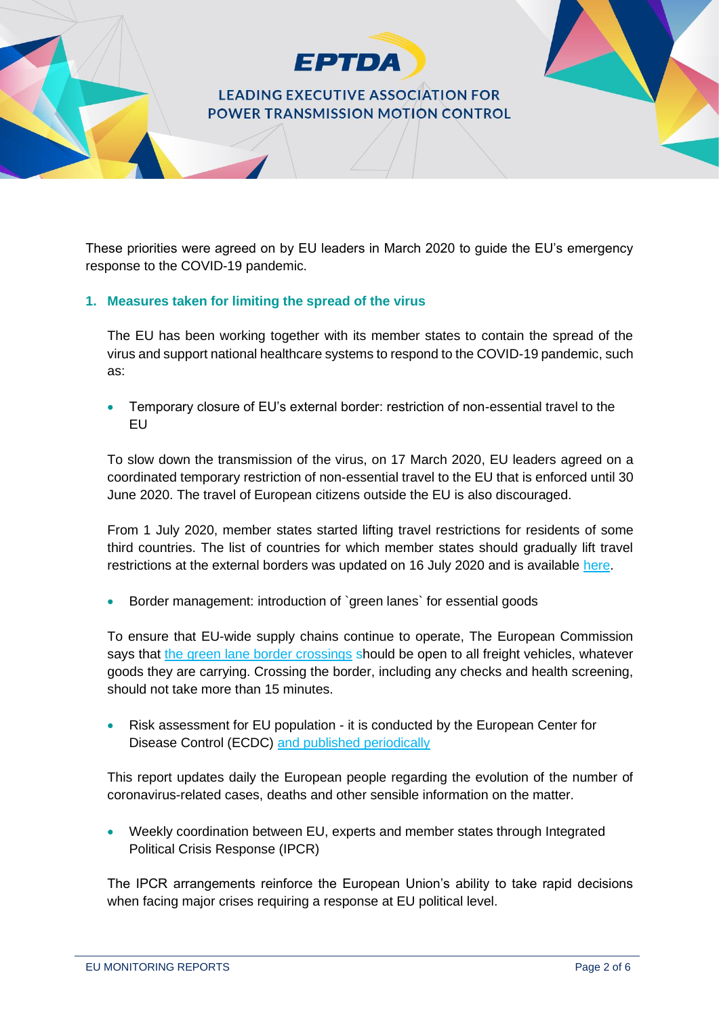

These priorities were agreed on by EU leaders in March 2020 to guide the EU's emergency response to the COVID-19 pandemic.

#### **1. Measures taken for limiting the spread of the virus**

The EU has been working together with its member states to contain the spread of the virus and support national healthcare systems to respond to the COVID-19 pandemic, such as:

• Temporary closure of EU's external border: restriction of non-essential travel to the EU

To slow down the transmission of the virus, on 17 March 2020, EU leaders agreed on a coordinated temporary restriction of non-essential travel to the EU that is enforced until 30 June 2020. The travel of European citizens outside the EU is also discouraged.

From 1 July 2020, member states started lifting travel restrictions for residents of some third countries. The list of countries for which member states should gradually lift travel restrictions at the external borders was updated on 16 July 2020 and is available [here.](https://www.consilium.europa.eu/en/press/press-releases/2020/07/16/council-updates-the-list-of-countries-for-which-member-states-should-gradually-lift-travel-restrictions-at-the-external-borders/)

• Border management: introduction of `green lanes` for essential goods

To ensure that EU-wide supply chains continue to operate, The European Commission says that [the green lane border crossings](https://ec.europa.eu/transport/sites/transport/files/legislation/2020-03-23-communication-green-lanes_en.pdf) should be open to all freight vehicles, whatever goods they are carrying. Crossing the border, including any checks and health screening, should not take more than 15 minutes.

• Risk assessment for EU population - it is conducted by the European Center for Disease Control (ECDC) [and published periodically](https://www.ecdc.europa.eu/en/current-risk-assessment-novel-coronavirus-situation)

This report updates daily the European people regarding the evolution of the number of coronavirus-related cases, deaths and other sensible information on the matter.

• Weekly coordination between EU, experts and member states through Integrated Political Crisis Response (IPCR)

The IPCR arrangements reinforce the European Union's ability to take rapid decisions when facing major crises requiring a response at EU political level.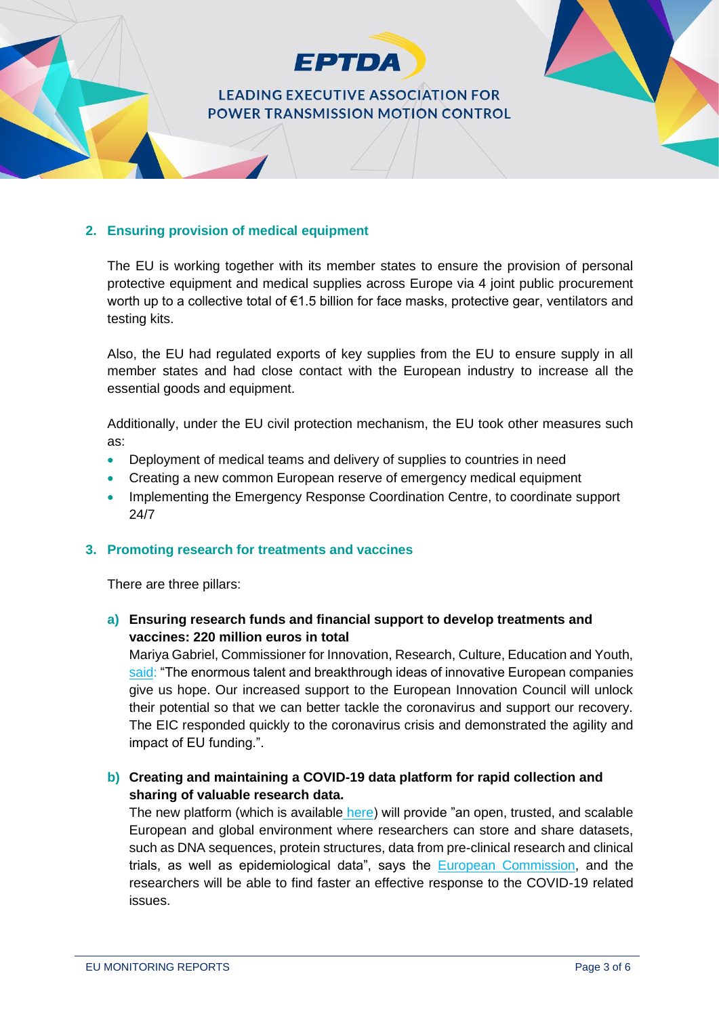

#### **2. Ensuring provision of medical equipment**

The EU is working together with its member states to ensure the provision of personal protective equipment and medical supplies across Europe via 4 joint public procurement worth up to a collective total of €1.5 billion for face masks, protective gear, ventilators and testing kits.

Also, the EU had regulated exports of key supplies from the EU to ensure supply in all member states and had close contact with the European industry to increase all the essential goods and equipment.

Additionally, under the EU civil protection mechanism, the EU took other measures such as:

- Deployment of medical teams and delivery of supplies to countries in need
- Creating a new common European reserve of emergency medical equipment
- Implementing the Emergency Response Coordination Centre, to coordinate support 24/7

#### **3. Promoting research for treatments and vaccines**

There are three pillars:

**a) Ensuring research funds and financial support to develop treatments and vaccines: 220 million euros in total**

Mariya Gabriel, Commissioner for Innovation, Research, Culture, Education and Youth, [said:](https://ec.europa.eu/commission/presscorner/detail/en/IP_20_1007) "The enormous talent and breakthrough ideas of innovative European companies give us hope. Our increased support to the European Innovation Council will unlock their potential so that we can better tackle the coronavirus and support our recovery. The EIC responded quickly to the coronavirus crisis and demonstrated the agility and impact of EU funding.".

### **b) Creating and maintaining a COVID-19 data platform for rapid collection and sharing of valuable research data.**

The new platform (which is available [here\)](https://www.covid19dataportal.org/) will provide "an open, trusted, and scalable European and global environment where researchers can store and share datasets, such as DNA sequences, protein structures, data from pre-clinical research and clinical trials, as well as epidemiological data", says the [European Commission,](https://ec.europa.eu/commission/presscorner/detail/en/IP_20_680) and the researchers will be able to find faster an effective response to the COVID-19 related issues.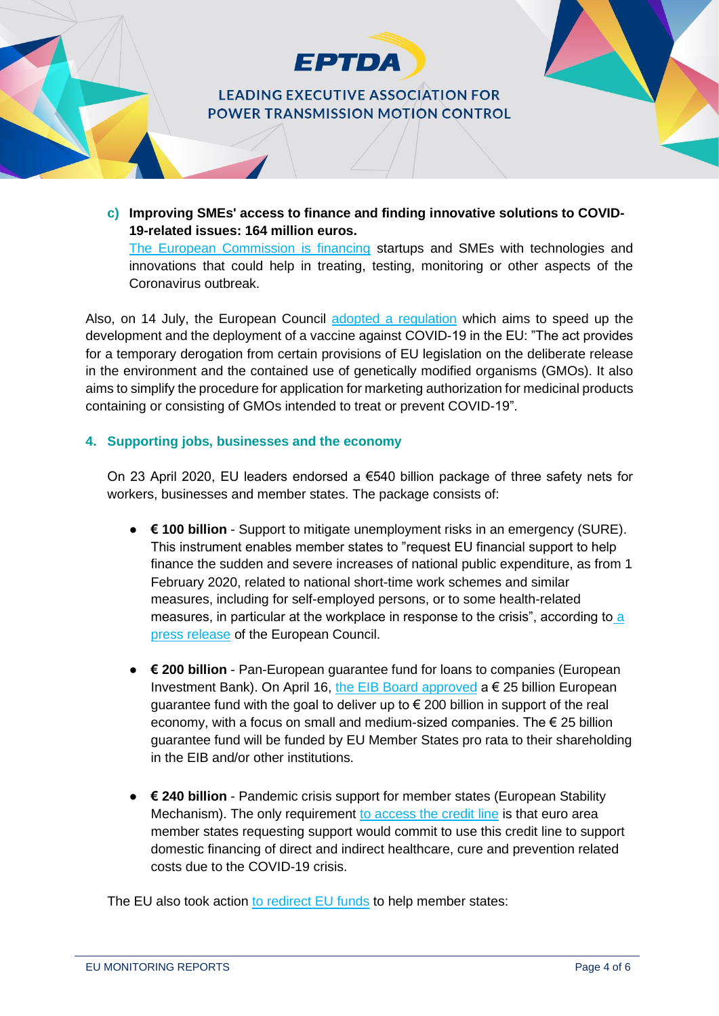

**c) Improving SMEs' access to finance and finding innovative solutions to COVID-19-related issues: 164 million euros.**

[The European Commission is financing](https://ec.europa.eu/info/news/startups-and-smes-innovative-solutions-welcome-2020-mar-13_en) startups and SMEs with technologies and innovations that could help in treating, testing, monitoring or other aspects of the Coronavirus outbreak.

Also, on 14 July, the European Council [adopted a regulation](https://www.consilium.europa.eu/en/press/press-releases/2020/07/14/vaccine-against-covid-19-council-adopts-measures-to-facilitate-swift-development/) which aims to speed up the development and the deployment of a vaccine against COVID-19 in the EU: "The act provides for a temporary derogation from certain provisions of EU legislation on the deliberate release in the environment and the contained use of genetically modified organisms (GMOs). It also aims to simplify the procedure for application for marketing authorization for medicinal products containing or consisting of GMOs intended to treat or prevent COVID-19".

#### **4. Supporting jobs, businesses and the economy**

On 23 April 2020, EU leaders endorsed a €540 billion package of three safety nets for workers, businesses and member states. The package consists of:

- **€ 100 billion** Support to mitigate unemployment risks in an emergency (SURE). This instrument enables member states to "request EU financial support to help finance the sudden and severe increases of national public expenditure, as from 1 February 2020, related to national short-time work schemes and similar measures, including for self-employed persons, or to some health-related measures, in particular at the workplace in response to the crisis", according to [a](https://www.consilium.europa.eu/en/press/press-releases/2020/05/19/covid-19-council-reaches-political-agreement-on-temporary-support-to-mitigate-unemployment-risks-in-an-emergency-sure/)  [press release](https://www.consilium.europa.eu/en/press/press-releases/2020/05/19/covid-19-council-reaches-political-agreement-on-temporary-support-to-mitigate-unemployment-risks-in-an-emergency-sure/) of the European Council.
- **€ 200 billion** Pan-European guarantee fund for loans to companies (European Investment Bank). On April 16, [the EIB Board approved](https://www.eib.org/en/about/initiatives/covid-19-response/index.htm)  $a \in 25$  billion European guarantee fund with the goal to deliver up to  $\epsilon$  200 billion in support of the real economy, with a focus on small and medium-sized companies. The  $\epsilon$  25 billion guarantee fund will be funded by EU Member States pro rata to their shareholding in the EIB and/or other institutions.
- **€ 240 billion** Pandemic crisis support for member states (European Stability Mechanism). The only requirement [to access the credit line](https://www.esm.europa.eu/content/europe-response-corona-crisis) is that euro area member states requesting support would commit to use this credit line to support domestic financing of direct and indirect healthcare, cure and prevention related costs due to the COVID-19 crisis.

The EU also took action [to redirect EU funds](https://home.kpmg/xx/en/home/insights/2020/04/european-union-government-and-institution-measures-in-response-to-covid.html) to help member states: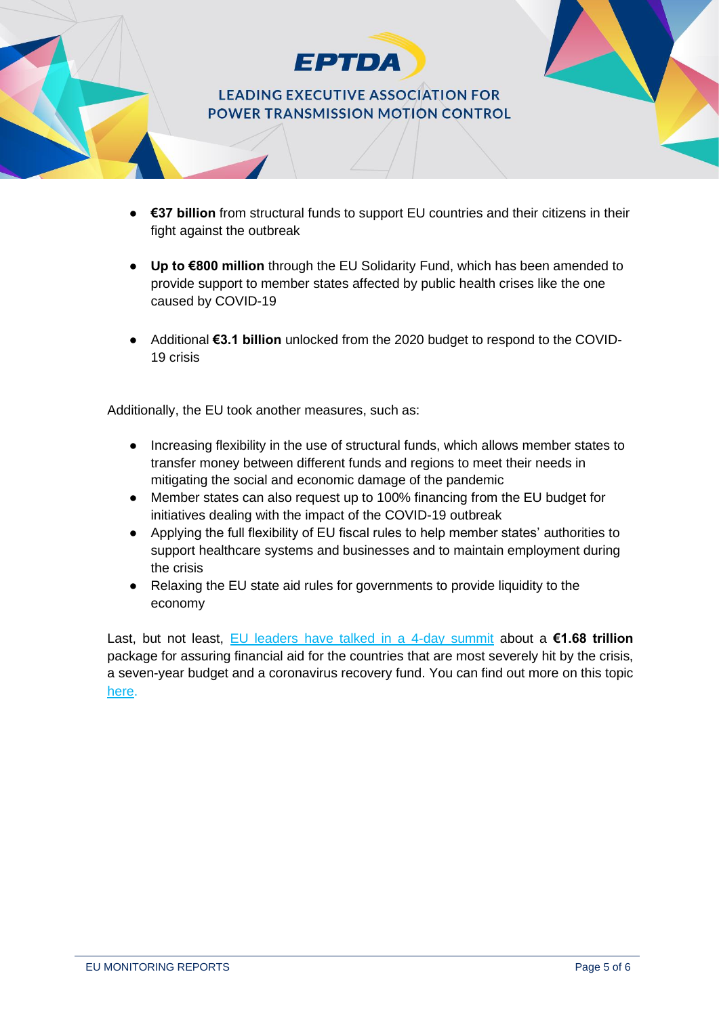

- **€37 billion** from structural funds to support EU countries and their citizens in their fight against the outbreak
- **Up to €800 million** through the EU Solidarity Fund, which has been amended to provide support to member states affected by public health crises like the one caused by COVID-19
- Additional **€3.1 billion** unlocked from the 2020 budget to respond to the COVID-19 crisis

Additionally, the EU took another measures, such as:

- Increasing flexibility in the use of structural funds, which allows member states to transfer money between different funds and regions to meet their needs in mitigating the social and economic damage of the pandemic
- Member states can also request up to 100% financing from the EU budget for initiatives dealing with the impact of the COVID-19 outbreak
- Applying the full flexibility of EU fiscal rules to help member states' authorities to support healthcare systems and businesses and to maintain employment during the crisis
- Relaxing the EU state aid rules for governments to provide liquidity to the economy

Last, but not least, [EU leaders have talked in a 4-day summit](https://www.euronews.com/2020/07/20/eu-summit-deadlock-see-talks-stretch-into-sunday) about a **€1.68 trillion** package for assuring financial aid for the countries that are most severely hit by the crisis, a seven-year budget and a coronavirus recovery fund. You can find out more on this topic [here.](https://www.consilium.europa.eu/en/policies/coronavirus/timeline/)